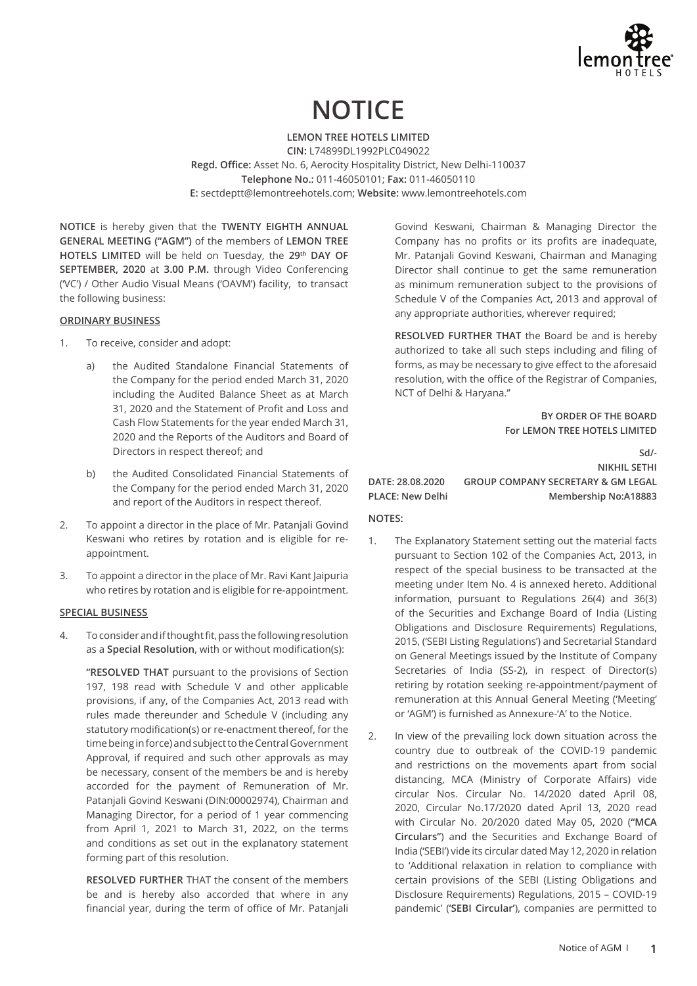

# **NOTICE**

**LEMON TREE HOTELS LIMITED CIN:** L74899DL1992PLC049022 **Regd. Office:** Asset No. 6, Aerocity Hospitality District, New Delhi-110037 **Telephone No.:** 011-46050101; **Fax:** 011-46050110 **E:** sectdeptt@lemontreehotels.com; **Website:** www.lemontreehotels.com

**NOTICE** is hereby given that the **TWENTY EIGHTH ANNUAL GENERAL MEETING ("AGM")** of the members of **LEMON TREE HOTELS LIMITED** will be held on Tuesday, the **29th DAY OF SEPTEMBER, 2020** at **3.00 P.M.** through Video Conferencing ('VC') / Other Audio Visual Means ('OAVM') facility, to transact the following business:

#### **ORDINARY BUSINESS**

- 1. To receive, consider and adopt:
	- a) the Audited Standalone Financial Statements of the Company for the period ended March 31, 2020 including the Audited Balance Sheet as at March 31, 2020 and the Statement of Profit and Loss and Cash Flow Statements for the year ended March 31, 2020 and the Reports of the Auditors and Board of Directors in respect thereof; and
	- b) the Audited Consolidated Financial Statements of the Company for the period ended March 31, 2020 and report of the Auditors in respect thereof.
- 2. To appoint a director in the place of Mr. Patanjali Govind Keswani who retires by rotation and is eligible for reappointment.
- 3. To appoint a director in the place of Mr. Ravi Kant Jaipuria who retires by rotation and is eligible for re-appointment.

#### **SPECIAL BUSINESS**

4. To consider and if thought fit, pass the following resolution as a **Special Resolution**, with or without modification(s):

**"RESOLVED THAT** pursuant to the provisions of Section 197, 198 read with Schedule V and other applicable provisions, if any, of the Companies Act, 2013 read with rules made thereunder and Schedule V (including any statutory modification(s) or re-enactment thereof, for the time being in force) and subject to the Central Government Approval, if required and such other approvals as may be necessary, consent of the members be and is hereby accorded for the payment of Remuneration of Mr. Patanjali Govind Keswani (DIN:00002974), Chairman and Managing Director, for a period of 1 year commencing from April 1, 2021 to March 31, 2022, on the terms and conditions as set out in the explanatory statement forming part of this resolution.

**RESOLVED FURTHER** THAT the consent of the members be and is hereby also accorded that where in any financial year, during the term of office of Mr. Patanjali Govind Keswani, Chairman & Managing Director the Company has no profits or its profits are inadequate, Mr. Patanjali Govind Keswani, Chairman and Managing Director shall continue to get the same remuneration as minimum remuneration subject to the provisions of Schedule V of the Companies Act, 2013 and approval of any appropriate authorities, wherever required;

**RESOLVED FURTHER THAT** the Board be and is hereby authorized to take all such steps including and filing of forms, as may be necessary to give effect to the aforesaid resolution, with the office of the Registrar of Companies, NCT of Delhi & Haryana."

> **BY ORDER OF THE BOARD For LEMON TREE HOTELS LIMITED**

**Sd/- NIKHIL SETHI DATE: 28.08.2020 GROUP COMPANY SECRETARY & GM LEGAL PLACE: New Delhi Membership No:A18883**

#### **NOTES:**

- 1. The Explanatory Statement setting out the material facts pursuant to Section 102 of the Companies Act, 2013, in respect of the special business to be transacted at the meeting under Item No. 4 is annexed hereto. Additional information, pursuant to Regulations 26(4) and 36(3) of the Securities and Exchange Board of India (Listing Obligations and Disclosure Requirements) Regulations, 2015, ('SEBI Listing Regulations') and Secretarial Standard on General Meetings issued by the Institute of Company Secretaries of India (SS-2), in respect of Director(s) retiring by rotation seeking re-appointment/payment of remuneration at this Annual General Meeting ('Meeting' or 'AGM') is furnished as Annexure-'A' to the Notice.
- 2. In view of the prevailing lock down situation across the country due to outbreak of the COVID-19 pandemic and restrictions on the movements apart from social distancing, MCA (Ministry of Corporate Affairs) vide circular Nos. Circular No. 14/2020 dated April 08, 2020, Circular No.17/2020 dated April 13, 2020 read with Circular No. 20/2020 dated May 05, 2020 (**"MCA Circulars"**) and the Securities and Exchange Board of India ('SEBI') vide its circular dated May 12, 2020 in relation to 'Additional relaxation in relation to compliance with certain provisions of the SEBI (Listing Obligations and Disclosure Requirements) Regulations, 2015 – COVID-19 pandemic' (**'SEBI Circular'**), companies are permitted to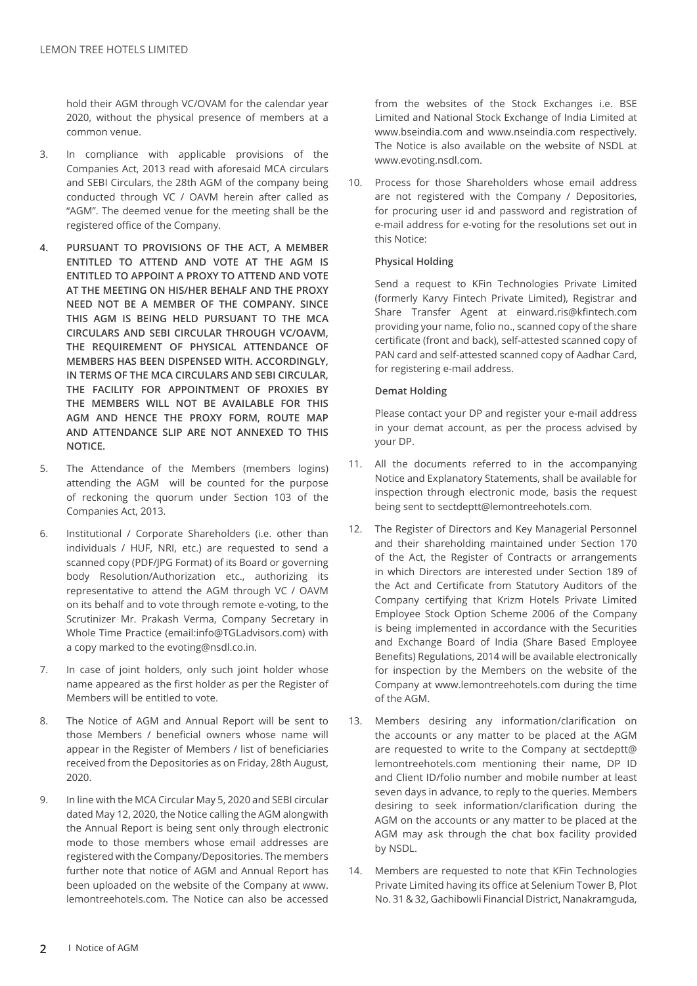hold their AGM through VC/OVAM for the calendar year 2020, without the physical presence of members at a common venue.

- 3. In compliance with applicable provisions of the Companies Act, 2013 read with aforesaid MCA circulars and SEBI Circulars, the 28th AGM of the company being conducted through VC / OAVM herein after called as "AGM". The deemed venue for the meeting shall be the registered office of the Company.
- **4. PURSUANT TO PROVISIONS OF THE ACT, A MEMBER ENTITLED TO ATTEND AND VOTE AT THE AGM IS ENTITLED TO APPOINT A PROXY TO ATTEND AND VOTE AT THE MEETING ON HIS/HER BEHALF AND THE PROXY NEED NOT BE A MEMBER OF THE COMPANY. SINCE THIS AGM IS BEING HELD PURSUANT TO THE MCA CIRCULARS AND SEBI CIRCULAR THROUGH VC/OAVM, THE REQUIREMENT OF PHYSICAL ATTENDANCE OF MEMBERS HAS BEEN DISPENSED WITH. ACCORDINGLY, IN TERMS OF THE MCA CIRCULARS AND SEBI CIRCULAR, THE FACILITY FOR APPOINTMENT OF PROXIES BY THE MEMBERS WILL NOT BE AVAILABLE FOR THIS AGM AND HENCE THE PROXY FORM, ROUTE MAP AND ATTENDANCE SLIP ARE NOT ANNEXED TO THIS NOTICE.**
- 5. The Attendance of the Members (members logins) attending the AGM will be counted for the purpose of reckoning the quorum under Section 103 of the Companies Act, 2013.
- 6. Institutional / Corporate Shareholders (i.e. other than individuals / HUF, NRI, etc.) are requested to send a scanned copy (PDF/JPG Format) of its Board or governing body Resolution/Authorization etc., authorizing its representative to attend the AGM through VC / OAVM on its behalf and to vote through remote e-voting, to the Scrutinizer Mr. Prakash Verma, Company Secretary in Whole Time Practice (email:info@TGLadvisors.com) with a copy marked to the evoting@nsdl.co.in.
- 7. In case of joint holders, only such joint holder whose name appeared as the first holder as per the Register of Members will be entitled to vote.
- 8. The Notice of AGM and Annual Report will be sent to those Members / beneficial owners whose name will appear in the Register of Members / list of beneficiaries received from the Depositories as on Friday, 28th August, 2020.
- 9. In line with the MCA Circular May 5, 2020 and SEBI circular dated May 12, 2020, the Notice calling the AGM alongwith the Annual Report is being sent only through electronic mode to those members whose email addresses are registered with the Company/Depositories. The members further note that notice of AGM and Annual Report has been uploaded on the website of the Company at www. lemontreehotels.com. The Notice can also be accessed

from the websites of the Stock Exchanges i.e. BSE Limited and National Stock Exchange of India Limited at www.bseindia.com and www.nseindia.com respectively. The Notice is also available on the website of NSDL at www.evoting.nsdl.com.

10. Process for those Shareholders whose email address are not registered with the Company / Depositories, for procuring user id and password and registration of e-mail address for e-voting for the resolutions set out in this Notice:

# **Physical Holding**

Send a request to KFin Technologies Private Limited (formerly Karvy Fintech Private Limited), Registrar and Share Transfer Agent at einward.ris@kfintech.com providing your name, folio no., scanned copy of the share certificate (front and back), self-attested scanned copy of PAN card and self-attested scanned copy of Aadhar Card, for registering e-mail address.

## **Demat Holding**

Please contact your DP and register your e-mail address in your demat account, as per the process advised by your DP.

- 11. All the documents referred to in the accompanying Notice and Explanatory Statements, shall be available for inspection through electronic mode, basis the request being sent to sectdeptt@lemontreehotels.com.
- 12. The Register of Directors and Key Managerial Personnel and their shareholding maintained under Section 170 of the Act, the Register of Contracts or arrangements in which Directors are interested under Section 189 of the Act and Certificate from Statutory Auditors of the Company certifying that Krizm Hotels Private Limited Employee Stock Option Scheme 2006 of the Company is being implemented in accordance with the Securities and Exchange Board of India (Share Based Employee Benefits) Regulations, 2014 will be available electronically for inspection by the Members on the website of the Company at www.lemontreehotels.com during the time of the AGM.
- 13. Members desiring any information/clarification on the accounts or any matter to be placed at the AGM are requested to write to the Company at sectdeptt@ lemontreehotels.com mentioning their name, DP ID and Client ID/folio number and mobile number at least seven days in advance, to reply to the queries. Members desiring to seek information/clarification during the AGM on the accounts or any matter to be placed at the AGM may ask through the chat box facility provided by NSDL.
- 14. Members are requested to note that KFin Technologies Private Limited having its office at Selenium Tower B, Plot No. 31 & 32, Gachibowli Financial District, Nanakramguda,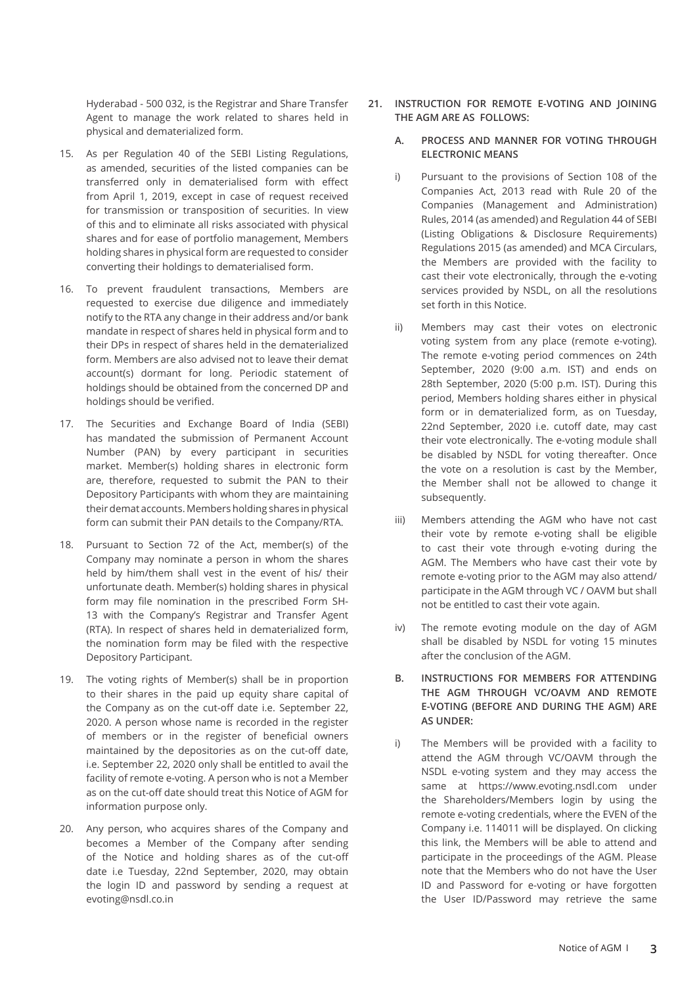Hyderabad - 500 032, is the Registrar and Share Transfer Agent to manage the work related to shares held in physical and dematerialized form.

- 15. As per Regulation 40 of the SEBI Listing Regulations, as amended, securities of the listed companies can be transferred only in dematerialised form with effect from April 1, 2019, except in case of request received for transmission or transposition of securities. In view of this and to eliminate all risks associated with physical shares and for ease of portfolio management, Members holding shares in physical form are requested to consider converting their holdings to dematerialised form.
- 16. To prevent fraudulent transactions, Members are requested to exercise due diligence and immediately notify to the RTA any change in their address and/or bank mandate in respect of shares held in physical form and to their DPs in respect of shares held in the dematerialized form. Members are also advised not to leave their demat account(s) dormant for long. Periodic statement of holdings should be obtained from the concerned DP and holdings should be verified.
- 17. The Securities and Exchange Board of India (SEBI) has mandated the submission of Permanent Account Number (PAN) by every participant in securities market. Member(s) holding shares in electronic form are, therefore, requested to submit the PAN to their Depository Participants with whom they are maintaining their demat accounts. Members holding shares in physical form can submit their PAN details to the Company/RTA.
- 18. Pursuant to Section 72 of the Act, member(s) of the Company may nominate a person in whom the shares held by him/them shall vest in the event of his/ their unfortunate death. Member(s) holding shares in physical form may file nomination in the prescribed Form SH-13 with the Company's Registrar and Transfer Agent (RTA). In respect of shares held in dematerialized form, the nomination form may be filed with the respective Depository Participant.
- 19. The voting rights of Member(s) shall be in proportion to their shares in the paid up equity share capital of the Company as on the cut-off date i.e. September 22, 2020. A person whose name is recorded in the register of members or in the register of beneficial owners maintained by the depositories as on the cut-off date, i.e. September 22, 2020 only shall be entitled to avail the facility of remote e-voting. A person who is not a Member as on the cut-off date should treat this Notice of AGM for information purpose only.
- 20. Any person, who acquires shares of the Company and becomes a Member of the Company after sending of the Notice and holding shares as of the cut-off date i.e Tuesday, 22nd September, 2020, may obtain the login ID and password by sending a request at evoting@nsdl.co.in
- **21. INSTRUCTION FOR REMOTE E-VOTING AND JOINING THE AGM ARE AS FOLLOWS:**
	- **A. PROCESS AND MANNER FOR VOTING THROUGH ELECTRONIC MEANS**
	- i) Pursuant to the provisions of Section 108 of the Companies Act, 2013 read with Rule 20 of the Companies (Management and Administration) Rules, 2014 (as amended) and Regulation 44 of SEBI (Listing Obligations & Disclosure Requirements) Regulations 2015 (as amended) and MCA Circulars, the Members are provided with the facility to cast their vote electronically, through the e-voting services provided by NSDL, on all the resolutions set forth in this Notice.
	- ii) Members may cast their votes on electronic voting system from any place (remote e-voting). The remote e-voting period commences on 24th September, 2020 (9:00 a.m. IST) and ends on 28th September, 2020 (5:00 p.m. IST). During this period, Members holding shares either in physical form or in dematerialized form, as on Tuesday, 22nd September, 2020 i.e. cutoff date, may cast their vote electronically. The e-voting module shall be disabled by NSDL for voting thereafter. Once the vote on a resolution is cast by the Member, the Member shall not be allowed to change it subsequently.
	- iii) Members attending the AGM who have not cast their vote by remote e-voting shall be eligible to cast their vote through e-voting during the AGM. The Members who have cast their vote by remote e-voting prior to the AGM may also attend/ participate in the AGM through VC / OAVM but shall not be entitled to cast their vote again.
	- iv) The remote evoting module on the day of AGM shall be disabled by NSDL for voting 15 minutes after the conclusion of the AGM.
	- **B. INSTRUCTIONS FOR MEMBERS FOR ATTENDING THE AGM THROUGH VC/OAVM AND REMOTE E-VOTING (BEFORE AND DURING THE AGM) ARE AS UNDER:**
	- i) The Members will be provided with a facility to attend the AGM through VC/OAVM through the NSDL e-voting system and they may access the same at https://www.evoting.nsdl.com under the Shareholders/Members login by using the remote e-voting credentials, where the EVEN of the Company i.e. 114011 will be displayed. On clicking this link, the Members will be able to attend and participate in the proceedings of the AGM. Please note that the Members who do not have the User ID and Password for e-voting or have forgotten the User ID/Password may retrieve the same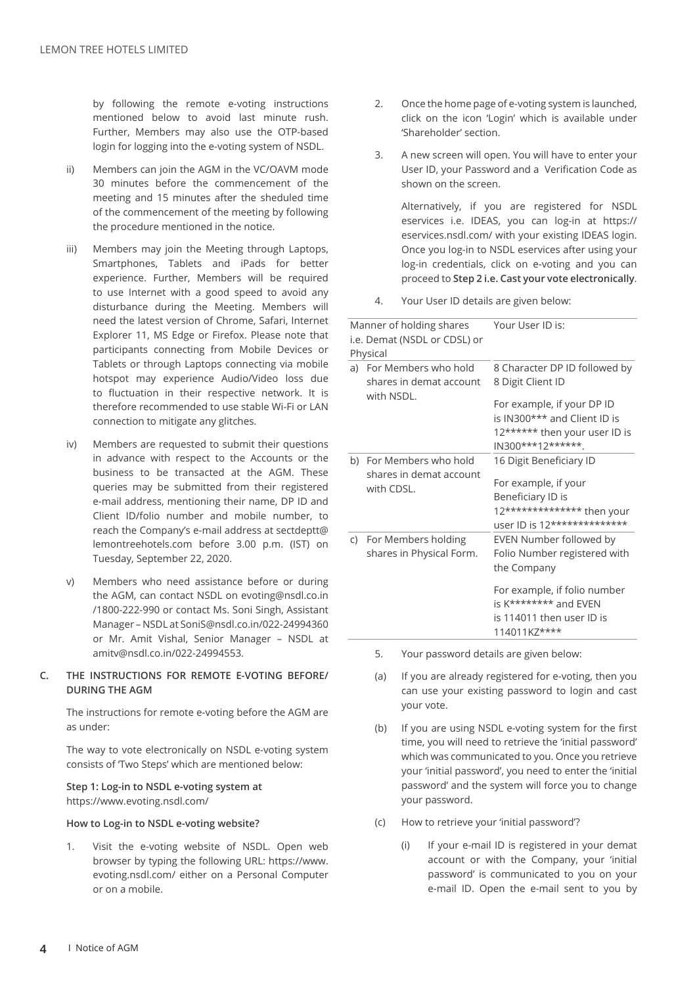by following the remote e-voting instructions mentioned below to avoid last minute rush. Further, Members may also use the OTP-based login for logging into the e-voting system of NSDL.

- ii) Members can join the AGM in the VC/OAVM mode 30 minutes before the commencement of the meeting and 15 minutes after the sheduled time of the commencement of the meeting by following the procedure mentioned in the notice.
- iii) Members may join the Meeting through Laptops, Smartphones, Tablets and iPads for better experience. Further, Members will be required to use Internet with a good speed to avoid any disturbance during the Meeting. Members will need the latest version of Chrome, Safari, Internet Explorer 11, MS Edge or Firefox. Please note that participants connecting from Mobile Devices or Tablets or through Laptops connecting via mobile hotspot may experience Audio/Video loss due to fluctuation in their respective network. It is therefore recommended to use stable Wi-Fi or LAN connection to mitigate any glitches.
- iv) Members are requested to submit their questions in advance with respect to the Accounts or the business to be transacted at the AGM. These queries may be submitted from their registered e-mail address, mentioning their name, DP ID and Client ID/folio number and mobile number, to reach the Company's e-mail address at sectdeptt@ lemontreehotels.com before 3.00 p.m. (IST) on Tuesday, September 22, 2020.
- v) Members who need assistance before or during the AGM, can contact NSDL on evoting@nsdl.co.in /1800-222-990 or contact Ms. Soni Singh, Assistant Manager – NSDL at SoniS@nsdl.co.in/022-24994360 or Mr. Amit Vishal, Senior Manager – NSDL at amitv@nsdl.co.in/022-24994553.

## **C. THE INSTRUCTIONS FOR REMOTE E-VOTING BEFORE/ DURING THE AGM**

The instructions for remote e-voting before the AGM are as under:

The way to vote electronically on NSDL e-voting system consists of 'Two Steps' which are mentioned below:

**Step 1: Log-in to NSDL e-voting system at** https://www.evoting.nsdl.com/

#### **How to Log-in to NSDL e-voting website?**

1. Visit the e-voting website of NSDL. Open web browser by typing the following URL: https://www. evoting.nsdl.com/ either on a Personal Computer or on a mobile.

- 2. Once the home page of e-voting system is launched, click on the icon 'Login' which is available under 'Shareholder' section.
- 3. A new screen will open. You will have to enter your User ID, your Password and a Verification Code as shown on the screen.

Alternatively, if you are registered for NSDL eservices i.e. IDEAS, you can log-in at https:// eservices.nsdl.com/ with your existing IDEAS login. Once you log-in to NSDL eservices after using your log-in credentials, click on e-voting and you can proceed to **Step 2 i.e. Cast your vote electronically**.

4. Your User ID details are given below:

Manner of holding shares i.e. Demat (NSDL or CDSL) or Physical Your User ID is: a) For Members who hold shares in demat account with NSDL. 8 Character DP ID followed by 8 Digit Client ID For example, if your DP ID is IN300\*\*\* and Client ID is 12\*\*\*\*\*\* then your user ID is IN300\*\*\*12\*\*\*\*\*\*. b) For Members who hold shares in demat account with CDSL. 16 Digit Beneficiary ID For example, if your Beneficiary ID is 12\*\*\*\*\*\*\*\*\*\*\*\*\*\* then your user ID is 12\*\*\*\*\*\*\*\*\*\*\*\*\*\* c) For Members holding shares in Physical Form. EVEN Number followed by Folio Number registered with the Company For example, if folio number is K\*\*\*\*\*\*\*\* and EVEN is 114011 then user ID is 114011kz\*\*\*\*

- 5. Your password details are given below:
- (a) If you are already registered for e-voting, then you can use your existing password to login and cast your vote.
- (b) If you are using NSDL e-voting system for the first time, you will need to retrieve the 'initial password' which was communicated to you. Once you retrieve your 'initial password', you need to enter the 'initial password' and the system will force you to change your password.
- (c) How to retrieve your 'initial password'?
	- (i) If your e-mail ID is registered in your demat account or with the Company, your 'initial password' is communicated to you on your e-mail ID. Open the e-mail sent to you by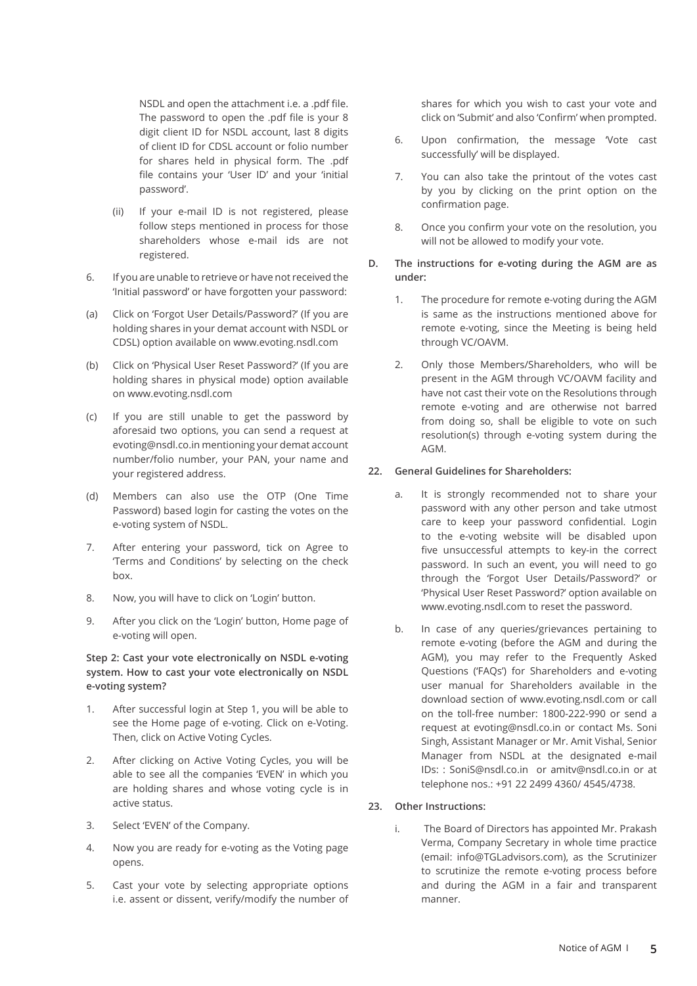NSDL and open the attachment i.e. a .pdf file. The password to open the .pdf file is your 8 digit client ID for NSDL account, last 8 digits of client ID for CDSL account or folio number for shares held in physical form. The .pdf file contains your 'User ID' and your 'initial password'.

- (ii) If your e-mail ID is not registered, please follow steps mentioned in process for those shareholders whose e-mail ids are not registered.
- 6. If you are unable to retrieve or have not received the 'Initial password' or have forgotten your password:
- (a) Click on 'Forgot User Details/Password?' (If you are holding shares in your demat account with NSDL or CDSL) option available on www.evoting.nsdl.com
- (b) Click on 'Physical User Reset Password?' (If you are holding shares in physical mode) option available on www.evoting.nsdl.com
- (c) If you are still unable to get the password by aforesaid two options, you can send a request at evoting@nsdl.co.in mentioning your demat account number/folio number, your PAN, your name and your registered address.
- (d) Members can also use the OTP (One Time Password) based login for casting the votes on the e-voting system of NSDL.
- 7. After entering your password, tick on Agree to 'Terms and Conditions' by selecting on the check box.
- 8. Now, you will have to click on 'Login' button.
- 9. After you click on the 'Login' button, Home page of e-voting will open.

**Step 2: Cast your vote electronically on NSDL e-voting system. How to cast your vote electronically on NSDL e-voting system?**

- 1. After successful login at Step 1, you will be able to see the Home page of e-voting. Click on e-Voting. Then, click on Active Voting Cycles.
- 2. After clicking on Active Voting Cycles, you will be able to see all the companies 'EVEN' in which you are holding shares and whose voting cycle is in active status.
- 3. Select 'EVEN' of the Company.
- 4. Now you are ready for e-voting as the Voting page opens.
- 5. Cast your vote by selecting appropriate options i.e. assent or dissent, verify/modify the number of

shares for which you wish to cast your vote and click on 'Submit' and also 'Confirm' when prompted.

- 6. Upon confirmation, the message 'Vote cast successfully' will be displayed.
- 7. You can also take the printout of the votes cast by you by clicking on the print option on the confirmation page.
- 8. Once you confirm your vote on the resolution, you will not be allowed to modify your vote.
- **D. The instructions for e-voting during the AGM are as under:**
	- 1. The procedure for remote e-voting during the AGM is same as the instructions mentioned above for remote e-voting, since the Meeting is being held through VC/OAVM.
	- 2. Only those Members/Shareholders, who will be present in the AGM through VC/OAVM facility and have not cast their vote on the Resolutions through remote e-voting and are otherwise not barred from doing so, shall be eligible to vote on such resolution(s) through e-voting system during the AGM.

# **22. General Guidelines for Shareholders:**

- a. It is strongly recommended not to share your password with any other person and take utmost care to keep your password confidential. Login to the e-voting website will be disabled upon five unsuccessful attempts to key-in the correct password. In such an event, you will need to go through the 'Forgot User Details/Password?' or 'Physical User Reset Password?' option available on www.evoting.nsdl.com to reset the password.
- b. In case of any queries/grievances pertaining to remote e-voting (before the AGM and during the AGM), you may refer to the Frequently Asked Questions ('FAQs') for Shareholders and e-voting user manual for Shareholders available in the download section of www.evoting.nsdl.com or call on the toll-free number: 1800-222-990 or send a request at evoting@nsdl.co.in or contact Ms. Soni Singh, Assistant Manager or Mr. Amit Vishal, Senior Manager from NSDL at the designated e-mail IDs: : SoniS@nsdl.co.in or amitv@nsdl.co.in or at telephone nos.: +91 22 2499 4360/ 4545/4738.
- **23. Other Instructions:**
	- i. The Board of Directors has appointed Mr. Prakash Verma, Company Secretary in whole time practice (email: info@TGLadvisors.com), as the Scrutinizer to scrutinize the remote e-voting process before and during the AGM in a fair and transparent manner.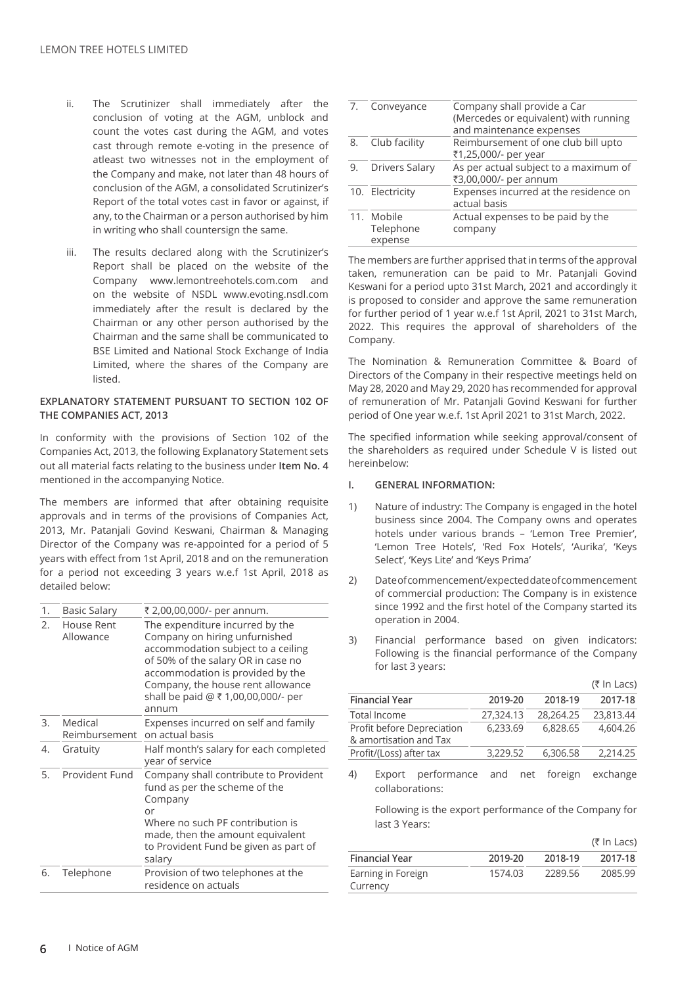- ii. The Scrutinizer shall immediately after the conclusion of voting at the AGM, unblock and count the votes cast during the AGM, and votes cast through remote e-voting in the presence of atleast two witnesses not in the employment of the Company and make, not later than 48 hours of conclusion of the AGM, a consolidated Scrutinizer's Report of the total votes cast in favor or against, if any, to the Chairman or a person authorised by him in writing who shall countersign the same.
- iii. The results declared along with the Scrutinizer's Report shall be placed on the website of the Company www.lemontreehotels.com.com and on the website of NSDL www.evoting.nsdl.com immediately after the result is declared by the Chairman or any other person authorised by the Chairman and the same shall be communicated to BSE Limited and National Stock Exchange of India Limited, where the shares of the Company are listed.

## **EXPLANATORY STATEMENT PURSUANT TO SECTION 102 OF THE COMPANIES ACT, 2013**

In conformity with the provisions of Section 102 of the Companies Act, 2013, the following Explanatory Statement sets out all material facts relating to the business under **Item No. 4** mentioned in the accompanying Notice.

The members are informed that after obtaining requisite approvals and in terms of the provisions of Companies Act, 2013, Mr. Patanjali Govind Keswani, Chairman & Managing Director of the Company was re-appointed for a period of 5 years with effect from 1st April, 2018 and on the remuneration for a period not exceeding 3 years w.e.f 1st April, 2018 as detailed below:

| 1. | <b>Basic Salary</b>      | ₹ 2,00,00,000/- per annum.                                                                                                                                                                                                                                            |
|----|--------------------------|-----------------------------------------------------------------------------------------------------------------------------------------------------------------------------------------------------------------------------------------------------------------------|
| 2. | House Rent<br>Allowance  | The expenditure incurred by the<br>Company on hiring unfurnished<br>accommodation subject to a ceiling<br>of 50% of the salary OR in case no<br>accommodation is provided by the<br>Company, the house rent allowance<br>shall be paid @ ₹ 1,00,00,000/- per<br>annum |
| 3. | Medical<br>Reimbursement | Expenses incurred on self and family<br>on actual basis                                                                                                                                                                                                               |
| 4. | Gratuity                 | Half month's salary for each completed<br>year of service                                                                                                                                                                                                             |
| 5. | Provident Fund           | Company shall contribute to Provident<br>fund as per the scheme of the<br>Company<br>or<br>Where no such PF contribution is<br>made, then the amount equivalent<br>to Provident Fund be given as part of<br>salary                                                    |
| 6. | Telephone                | Provision of two telephones at the<br>residence on actuals                                                                                                                                                                                                            |

|    | Conveyance                         | Company shall provide a Car<br>(Mercedes or equivalent) with running<br>and maintenance expenses |
|----|------------------------------------|--------------------------------------------------------------------------------------------------|
| 8. | Club facility                      | Reimbursement of one club bill upto<br>₹1,25,000/- per year                                      |
| 9. | Drivers Salary                     | As per actual subject to a maximum of<br>₹3,00,000/- per annum                                   |
|    | 10. Electricity                    | Expenses incurred at the residence on<br>actual basis                                            |
|    | 11. Mobile<br>Telephone<br>expense | Actual expenses to be paid by the<br>company                                                     |

The members are further apprised that in terms of the approval taken, remuneration can be paid to Mr. Patanjali Govind Keswani for a period upto 31st March, 2021 and accordingly it is proposed to consider and approve the same remuneration for further period of 1 year w.e.f 1st April, 2021 to 31st March, 2022. This requires the approval of shareholders of the Company.

The Nomination & Remuneration Committee & Board of Directors of the Company in their respective meetings held on May 28, 2020 and May 29, 2020 has recommended for approval of remuneration of Mr. Patanjali Govind Keswani for further period of One year w.e.f. 1st April 2021 to 31st March, 2022.

The specified information while seeking approval/consent of the shareholders as required under Schedule V is listed out hereinbelow:

## **I. GENERAL INFORMATION:**

- 1) Nature of industry: The Company is engaged in the hotel business since 2004. The Company owns and operates hotels under various brands – 'Lemon Tree Premier', 'Lemon Tree Hotels', 'Red Fox Hotels', 'Aurika', 'Keys Select', 'Keys Lite' and 'Keys Prima'
- 2) Date of commencement/expected date of commencement of commercial production: The Company is in existence since 1992 and the first hotel of the Company started its operation in 2004.
- 3) Financial performance based on given indicators: Following is the financial performance of the Company for last 3 years:

|                                                      |           |           | $(5 \ln$ Lacs) |
|------------------------------------------------------|-----------|-----------|----------------|
| <b>Financial Year</b>                                | 2019-20   | 2018-19   | 2017-18        |
| Total Income                                         | 27,324.13 | 28.264.25 | 23,813,44      |
| Profit before Depreciation<br>& amortisation and Tax | 6.233.69  | 6,828.65  | 4.604.26       |
| Profit/(Loss) after tax                              | 3.229.52  | 6,306.58  | 2,214.25       |

4) Export performance and net foreign exchange collaborations:

Following is the export performance of the Company for last 3 Years:

|                                |                    |         | (₹ In Lacs) |
|--------------------------------|--------------------|---------|-------------|
| <b>Financial Year</b>          | 2018-19<br>2019-20 |         | 2017-18     |
| Earning in Foreign<br>Currency | 1574.03            | 2289.56 | 2085.99     |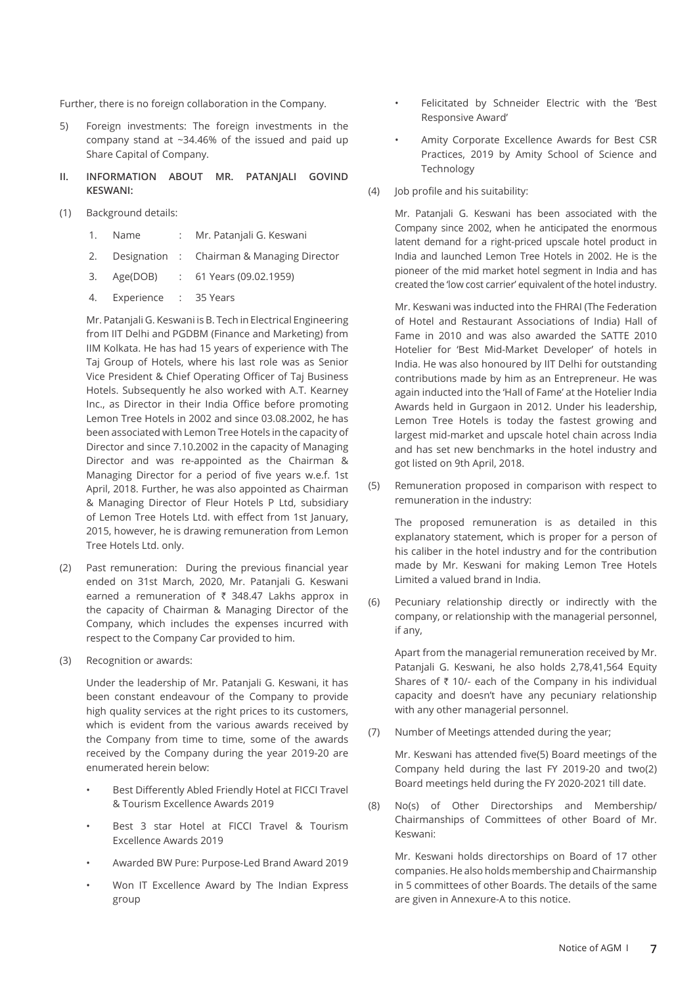Further, there is no foreign collaboration in the Company.

- 5) Foreign investments: The foreign investments in the company stand at ~34.46% of the issued and paid up Share Capital of Company.
- **II. INFORMATION ABOUT MR. PATANJALI GOVIND KESWANI:**
- (1) Background details:
	- 1. Name : Mr. Patanjali G. Keswani
	- 2. Designation : Chairman & Managing Director
	- 3. Age(DOB) : 61 Years (09.02.1959)
	- 4. Experience : 35 Years

Mr. Patanjali G. Keswani is B. Tech in Electrical Engineering from IIT Delhi and PGDBM (Finance and Marketing) from IIM Kolkata. He has had 15 years of experience with The Taj Group of Hotels, where his last role was as Senior Vice President & Chief Operating Officer of Taj Business Hotels. Subsequently he also worked with A.T. Kearney Inc., as Director in their India Office before promoting Lemon Tree Hotels in 2002 and since 03.08.2002, he has been associated with Lemon Tree Hotels in the capacity of Director and since 7.10.2002 in the capacity of Managing Director and was re-appointed as the Chairman & Managing Director for a period of five years w.e.f. 1st April, 2018. Further, he was also appointed as Chairman & Managing Director of Fleur Hotels P Ltd, subsidiary of Lemon Tree Hotels Ltd. with effect from 1st January, 2015, however, he is drawing remuneration from Lemon Tree Hotels Ltd. only.

- (2) Past remuneration: During the previous financial year ended on 31st March, 2020, Mr. Patanjali G. Keswani earned a remuneration of  $\bar{\tau}$  348.47 Lakhs approx in the capacity of Chairman & Managing Director of the Company, which includes the expenses incurred with respect to the Company Car provided to him.
- (3) Recognition or awards:

Under the leadership of Mr. Patanjali G. Keswani, it has been constant endeavour of the Company to provide high quality services at the right prices to its customers, which is evident from the various awards received by the Company from time to time, some of the awards received by the Company during the year 2019-20 are enumerated herein below:

- Best Differently Abled Friendly Hotel at FICCI Travel & Tourism Excellence Awards 2019
- Best 3 star Hotel at FICCI Travel & Tourism Excellence Awards 2019
- Awarded BW Pure: Purpose-Led Brand Award 2019
- Won IT Excellence Award by The Indian Express group
- Felicitated by Schneider Electric with the 'Best Responsive Award'
- Amity Corporate Excellence Awards for Best CSR Practices, 2019 by Amity School of Science and Technology
- (4) Job profile and his suitability:

Mr. Patanjali G. Keswani has been associated with the Company since 2002, when he anticipated the enormous latent demand for a right-priced upscale hotel product in India and launched Lemon Tree Hotels in 2002. He is the pioneer of the mid market hotel segment in India and has created the 'low cost carrier' equivalent of the hotel industry.

Mr. Keswani was inducted into the FHRAI (The Federation of Hotel and Restaurant Associations of India) Hall of Fame in 2010 and was also awarded the SATTE 2010 Hotelier for 'Best Mid-Market Developer' of hotels in India. He was also honoured by IIT Delhi for outstanding contributions made by him as an Entrepreneur. He was again inducted into the 'Hall of Fame' at the Hotelier India Awards held in Gurgaon in 2012. Under his leadership, Lemon Tree Hotels is today the fastest growing and largest mid-market and upscale hotel chain across India and has set new benchmarks in the hotel industry and got listed on 9th April, 2018.

(5) Remuneration proposed in comparison with respect to remuneration in the industry:

The proposed remuneration is as detailed in this explanatory statement, which is proper for a person of his caliber in the hotel industry and for the contribution made by Mr. Keswani for making Lemon Tree Hotels Limited a valued brand in India.

(6) Pecuniary relationship directly or indirectly with the company, or relationship with the managerial personnel, if any,

Apart from the managerial remuneration received by Mr. Patanjali G. Keswani, he also holds 2,78,41,564 Equity Shares of  $\bar{\tau}$  10/- each of the Company in his individual capacity and doesn't have any pecuniary relationship with any other managerial personnel.

(7) Number of Meetings attended during the year;

Mr. Keswani has attended five(5) Board meetings of the Company held during the last FY 2019-20 and two(2) Board meetings held during the FY 2020-2021 till date.

(8) No(s) of Other Directorships and Membership/ Chairmanships of Committees of other Board of Mr. Keswani:

Mr. Keswani holds directorships on Board of 17 other companies. He also holds membership and Chairmanship in 5 committees of other Boards. The details of the same are given in Annexure-A to this notice.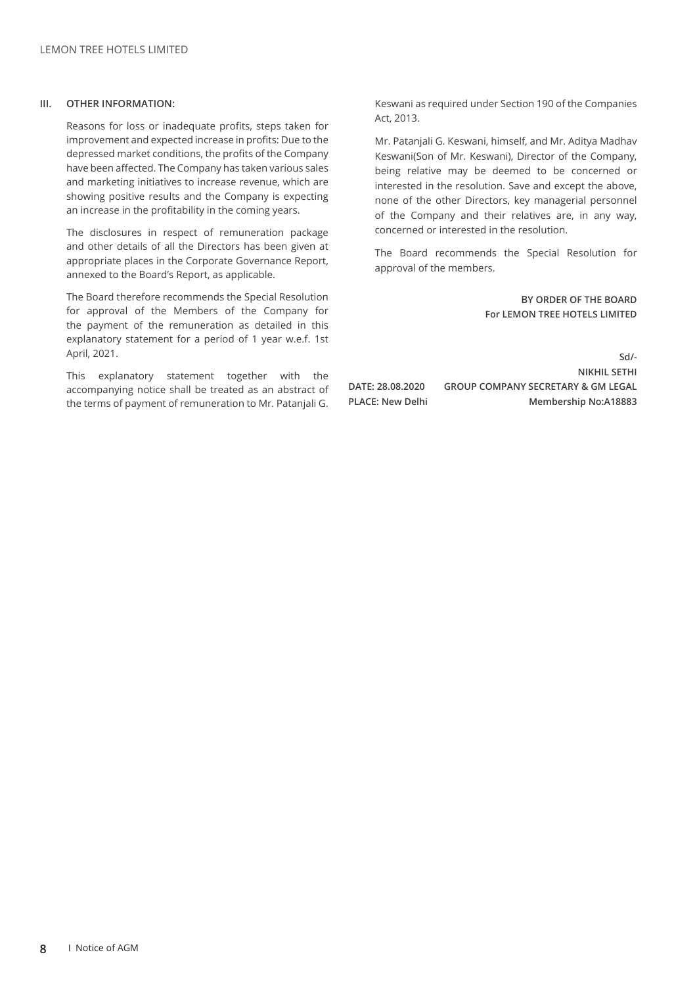#### **III. OTHER INFORMATION:**

Reasons for loss or inadequate profits, steps taken for improvement and expected increase in profits: Due to the depressed market conditions, the profits of the Company have been affected. The Company has taken various sales and marketing initiatives to increase revenue, which are showing positive results and the Company is expecting an increase in the profitability in the coming years.

The disclosures in respect of remuneration package and other details of all the Directors has been given at appropriate places in the Corporate Governance Report, annexed to the Board's Report, as applicable.

The Board therefore recommends the Special Resolution for approval of the Members of the Company for the payment of the remuneration as detailed in this explanatory statement for a period of 1 year w.e.f. 1st April, 2021.

This explanatory statement together with the accompanying notice shall be treated as an abstract of the terms of payment of remuneration to Mr. Patanjali G.

Keswani as required under Section 190 of the Companies Act, 2013.

Mr. Patanjali G. Keswani, himself, and Mr. Aditya Madhav Keswani(Son of Mr. Keswani), Director of the Company, being relative may be deemed to be concerned or interested in the resolution. Save and except the above, none of the other Directors, key managerial personnel of the Company and their relatives are, in any way, concerned or interested in the resolution.

The Board recommends the Special Resolution for approval of the members.

> **BY ORDER OF THE BOARD For LEMON TREE HOTELS LIMITED**

**Sd/- NIKHIL SETHI DATE: 28.08.2020 GROUP COMPANY SECRETARY & GM LEGAL PLACE: New Delhi Membership No:A18883**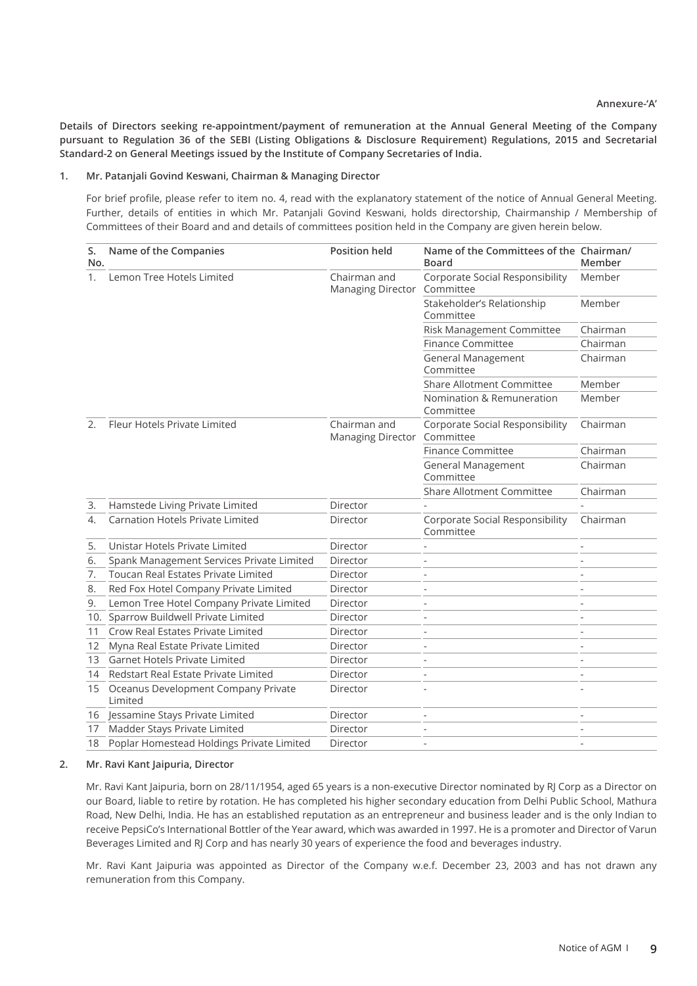**Details of Directors seeking re-appointment/payment of remuneration at the Annual General Meeting of the Company pursuant to Regulation 36 of the SEBI (Listing Obligations & Disclosure Requirement) Regulations, 2015 and Secretarial Standard-2 on General Meetings issued by the Institute of Company Secretaries of India.**

#### **1. Mr. Patanjali Govind Keswani, Chairman & Managing Director**

For brief profile, please refer to item no. 4, read with the explanatory statement of the notice of Annual General Meeting. Further, details of entities in which Mr. Patanjali Govind Keswani, holds directorship, Chairmanship / Membership of Committees of their Board and and details of committees position held in the Company are given herein below.

| S.<br>No. | Name of the Companies                          | <b>Position held</b>                        | Name of the Committees of the Chairman/<br><b>Board</b> | Member   |
|-----------|------------------------------------------------|---------------------------------------------|---------------------------------------------------------|----------|
| 1.        | Lemon Tree Hotels Limited                      | Chairman and<br>Managing Director Committee | Corporate Social Responsibility                         | Member   |
|           |                                                |                                             | Stakeholder's Relationship<br>Committee                 | Member   |
|           |                                                |                                             | Risk Management Committee                               | Chairman |
|           |                                                |                                             | <b>Finance Committee</b>                                | Chairman |
|           |                                                |                                             | General Management<br>Committee                         | Chairman |
|           |                                                |                                             | <b>Share Allotment Committee</b>                        | Member   |
|           |                                                |                                             | Nomination & Remuneration<br>Committee                  | Member   |
| 2.        | Fleur Hotels Private Limited                   | Chairman and<br>Managing Director Committee | Corporate Social Responsibility                         | Chairman |
|           |                                                |                                             | <b>Finance Committee</b>                                | Chairman |
|           |                                                |                                             | <b>General Management</b><br>Committee                  | Chairman |
|           |                                                |                                             | <b>Share Allotment Committee</b>                        | Chairman |
| 3.        | Hamstede Living Private Limited                | Director                                    |                                                         |          |
| 4.        | <b>Carnation Hotels Private Limited</b>        | Director                                    | Corporate Social Responsibility<br>Committee            | Chairman |
| 5.        | Unistar Hotels Private Limited                 | Director                                    |                                                         |          |
| 6.        | Spank Management Services Private Limited      | Director                                    |                                                         |          |
| 7.        | Toucan Real Estates Private Limited            | Director                                    |                                                         |          |
| 8.        | Red Fox Hotel Company Private Limited          | Director                                    |                                                         |          |
| 9.        | Lemon Tree Hotel Company Private Limited       | Director                                    |                                                         |          |
| 10.       | Sparrow Buildwell Private Limited              | Director                                    |                                                         |          |
| 11        | Crow Real Estates Private Limited              | Director                                    |                                                         |          |
| 12        | Myna Real Estate Private Limited               | Director                                    |                                                         |          |
| 13        | <b>Garnet Hotels Private Limited</b>           | Director                                    |                                                         |          |
| 14        | Redstart Real Estate Private Limited           | Director                                    |                                                         |          |
| 15        | Oceanus Development Company Private<br>Limited | Director                                    |                                                         |          |
| 16        | Jessamine Stays Private Limited                | Director                                    |                                                         |          |
| 17        | Madder Stays Private Limited                   | Director                                    |                                                         |          |
| 18        | Poplar Homestead Holdings Private Limited      | Director                                    |                                                         |          |

#### **2. Mr. Ravi Kant Jaipuria, Director**

Mr. Ravi Kant Jaipuria, born on 28/11/1954, aged 65 years is a non-executive Director nominated by RJ Corp as a Director on our Board, liable to retire by rotation. He has completed his higher secondary education from Delhi Public School, Mathura Road, New Delhi, India. He has an established reputation as an entrepreneur and business leader and is the only Indian to receive PepsiCo's International Bottler of the Year award, which was awarded in 1997. He is a promoter and Director of Varun Beverages Limited and RJ Corp and has nearly 30 years of experience the food and beverages industry.

Mr. Ravi Kant Jaipuria was appointed as Director of the Company w.e.f. December 23, 2003 and has not drawn any remuneration from this Company.